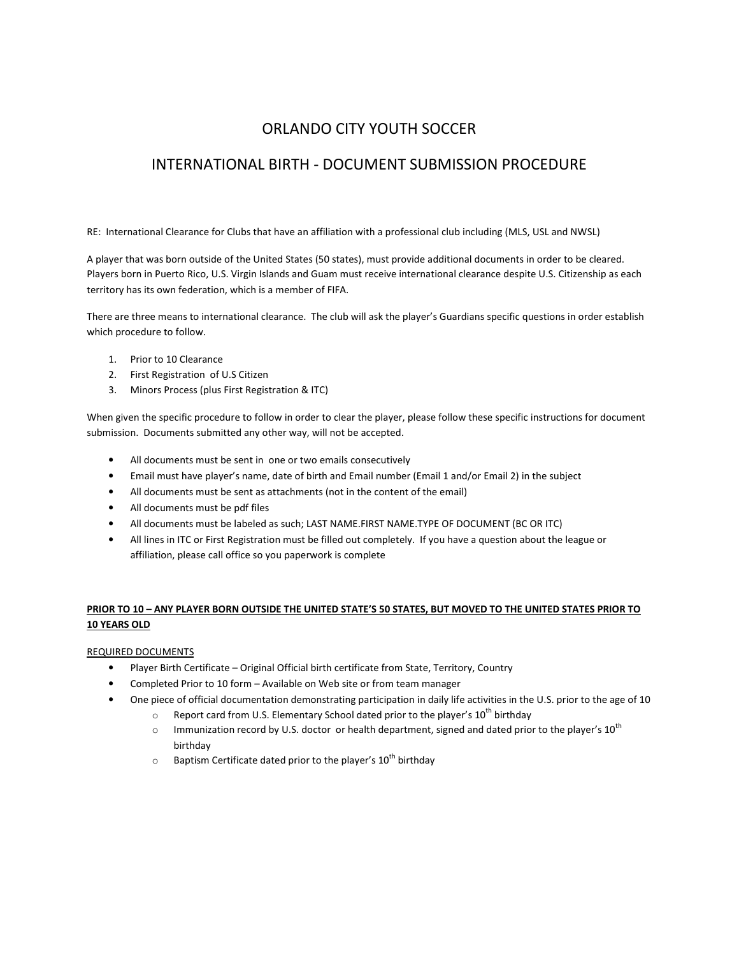# ORLANDO CITY YOUTH SOCCER

# INTERNATIONAL BIRTH - DOCUMENT SUBMISSION PROCEDURE

RE: International Clearance for Clubs that have an affiliation with a professional club including (MLS, USL and NWSL)

A player that was born outside of the United States (50 states), must provide additional documents in order to be cleared. Players born in Puerto Rico, U.S. Virgin Islands and Guam must receive international clearance despite U.S. Citizenship as each territory has its own federation, which is a member of FIFA.

There are three means to international clearance. The club will ask the player's Guardians specific questions in order establish which procedure to follow.

- 1. Prior to 10 Clearance
- 2. First Registration of U.S Citizen
- 3. Minors Process (plus First Registration & ITC)

When given the specific procedure to follow in order to clear the player, please follow these specific instructions for document submission. Documents submitted any other way, will not be accepted.

- All documents must be sent in one or two emails consecutively
- Email must have player's name, date of birth and Email number (Email 1 and/or Email 2) in the subject
- All documents must be sent as attachments (not in the content of the email)
- All documents must be pdf files
- All documents must be labeled as such; LAST NAME.FIRST NAME.TYPE OF DOCUMENT (BC OR ITC)
- All lines in ITC or First Registration must be filled out completely. If you have a question about the league or affiliation, please call office so you paperwork is complete

## **PRIOR TO 10 – ANY PLAYER BORN OUTSIDE THE UNITED STATE'S 50 STATES, BUT MOVED TO THE UNITED STATES PRIOR TO 10 YEARS OLD**

#### REQUIRED DOCUMENTS

- Player Birth Certificate Original Official birth certificate from State, Territory, Country
- Completed Prior to 10 form Available on Web site or from team manager
- One piece of official documentation demonstrating participation in daily life activities in the U.S. prior to the age of 10
	- $\circ$  Report card from U.S. Elementary School dated prior to the player's 10<sup>th</sup> birthday
	- $\circ$  Immunization record by U.S. doctor or health department, signed and dated prior to the player's 10<sup>th</sup> birthday
	- $\circ$  Baptism Certificate dated prior to the player's 10<sup>th</sup> birthday